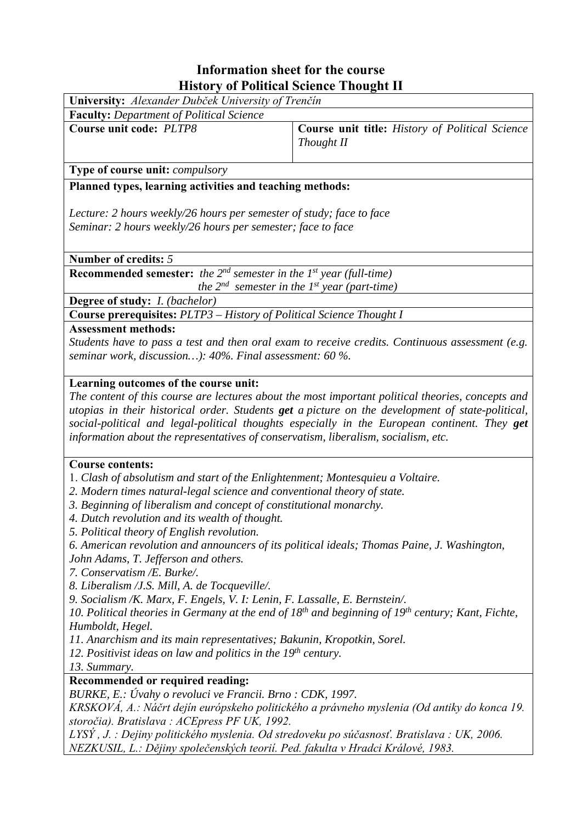## **Information sheet for the course History of Political Science Thought II**

| <b>FIISLOFY OF POHUCAL SCIENCE 1 HOUGHU II</b>                                              |                                                                                                                                                                                                                                                                                                       |  |  |  |  |  |
|---------------------------------------------------------------------------------------------|-------------------------------------------------------------------------------------------------------------------------------------------------------------------------------------------------------------------------------------------------------------------------------------------------------|--|--|--|--|--|
| University: Alexander Dubček University of Trenčín                                          |                                                                                                                                                                                                                                                                                                       |  |  |  |  |  |
| <b>Faculty:</b> Department of Political Science                                             |                                                                                                                                                                                                                                                                                                       |  |  |  |  |  |
| <b>Course unit code: PLTP8</b>                                                              | Course unit title: History of Political Science<br>Thought II                                                                                                                                                                                                                                         |  |  |  |  |  |
| Type of course unit: compulsory                                                             |                                                                                                                                                                                                                                                                                                       |  |  |  |  |  |
| Planned types, learning activities and teaching methods:                                    |                                                                                                                                                                                                                                                                                                       |  |  |  |  |  |
| Lecture: 2 hours weekly/26 hours per semester of study; face to face                        |                                                                                                                                                                                                                                                                                                       |  |  |  |  |  |
| Seminar: 2 hours weekly/26 hours per semester; face to face                                 |                                                                                                                                                                                                                                                                                                       |  |  |  |  |  |
| Number of credits: 5                                                                        |                                                                                                                                                                                                                                                                                                       |  |  |  |  |  |
| <b>Recommended semester:</b> the $2^{nd}$ semester in the $1^{st}$ year (full-time)         |                                                                                                                                                                                                                                                                                                       |  |  |  |  |  |
|                                                                                             | the $2^{nd}$ semester in the 1st year (part-time)                                                                                                                                                                                                                                                     |  |  |  |  |  |
| Degree of study: <i>I. (bachelor)</i>                                                       |                                                                                                                                                                                                                                                                                                       |  |  |  |  |  |
| Course prerequisites: PLTP3 - History of Political Science Thought I                        |                                                                                                                                                                                                                                                                                                       |  |  |  |  |  |
| <b>Assessment methods:</b><br>seminar work, discussion): 40%. Final assessment: 60 %.       | Students have to pass a test and then oral exam to receive credits. Continuous assessment (e.g.                                                                                                                                                                                                       |  |  |  |  |  |
| Learning outcomes of the course unit:                                                       |                                                                                                                                                                                                                                                                                                       |  |  |  |  |  |
| information about the representatives of conservatism, liberalism, socialism, etc.          | The content of this course are lectures about the most important political theories, concepts and<br>utopias in their historical order. Students get a picture on the development of state-political,<br>social-political and legal-political thoughts especially in the European continent. They get |  |  |  |  |  |
| <b>Course contents:</b>                                                                     |                                                                                                                                                                                                                                                                                                       |  |  |  |  |  |
| 1. Clash of absolutism and start of the Enlightenment; Montesquieu a Voltaire.              |                                                                                                                                                                                                                                                                                                       |  |  |  |  |  |
| 2. Modern times natural-legal science and conventional theory of state.                     |                                                                                                                                                                                                                                                                                                       |  |  |  |  |  |
| 3. Beginning of liberalism and concept of constitutional monarchy.                          |                                                                                                                                                                                                                                                                                                       |  |  |  |  |  |
| 4. Dutch revolution and its wealth of thought.                                              |                                                                                                                                                                                                                                                                                                       |  |  |  |  |  |
| 5. Political theory of English revolution.                                                  |                                                                                                                                                                                                                                                                                                       |  |  |  |  |  |
| 6. American revolution and announcers of its political ideals; Thomas Paine, J. Washington, |                                                                                                                                                                                                                                                                                                       |  |  |  |  |  |
| John Adams, T. Jefferson and others.                                                        |                                                                                                                                                                                                                                                                                                       |  |  |  |  |  |
| 7. Conservatism /E. Burke/.                                                                 |                                                                                                                                                                                                                                                                                                       |  |  |  |  |  |
| 8. Liberalism / J.S. Mill, A. de Tocqueville/.                                              |                                                                                                                                                                                                                                                                                                       |  |  |  |  |  |

*9. Socialism /K. Marx, F. Engels, V. I: Lenin, F. Lassalle, E. Bernstein/.*

*10. Political theories in Germany at the end of 18th and beginning of 19th century; Kant, Fichte, Humboldt, Hegel.*

*11. Anarchism and its main representatives; Bakunin, Kropotkin, Sorel.*

*12. Positivist ideas on law and politics in the 19<sup>th</sup> century.* 

*13. Summary.*

## **Recommended or required reading:**

*BURKE, E.: Úvahy o revoluci ve Francii. Brno : CDK, 1997.* 

*KRSKOVÁ, A.: Náčrt dejín európskeho politického a právneho myslenia (Od antiky do konca 19.* storočia). Bratislava: ACEpress PF UK, 1992.

*LYSÝ*, *J.*: Dejiny politického myslenia. Od stredoveku po súčasnosť. Bratislava: UK, 2006. *NEZKUSIL, L.: Dějiny společenských teorií. Ped. fakulta v Hradci Králové, 1983.*